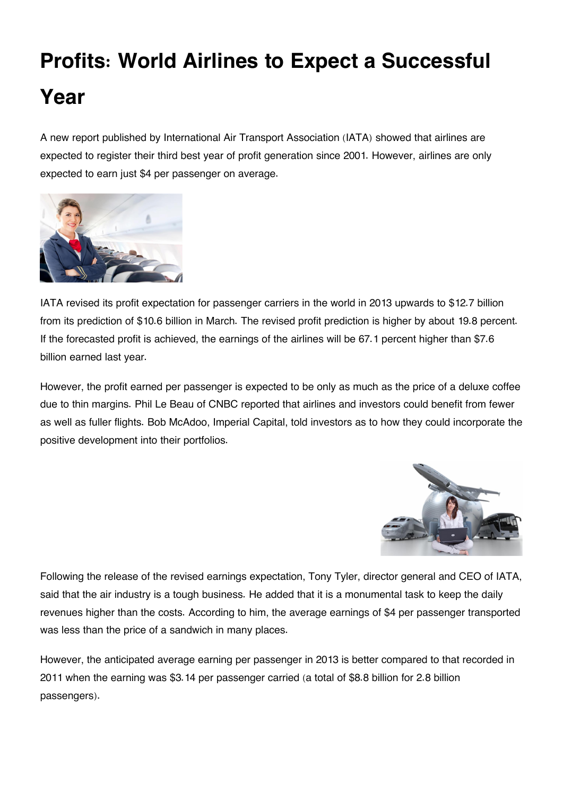## **Profits: World Airlines to Expect a Successful Year**

A new report published by International Air Transport Association (IATA) showed that airlines are expected to register their third best year of profit generation since 2001. However, airlines are only expected to earn just \$4 per passenger on average.



IATA revised its profit expectation for passenger carriers in the world in 2013 upwards to \$12.7 billion from its prediction of \$10.6 billion in March. The revised profit prediction is higher by about 19.8 percent. If the forecasted profit is achieved, the earnings of the airlines will be 67.1 percent higher than \$7.6 billion earned last year.

However, the profit earned per passenger is expected to be only as much as the price of a deluxe coffee due to thin margins. Phil Le Beau of CNBC reported that airlines and investors could benefit from fewer as well as fuller flights. Bob McAdoo, Imperial Capital, told investors as to how they could incorporate the positive development into their portfolios.



Following the release of the revised earnings expectation, Tony Tyler, director general and CEO of IATA, said that the air industry is a tough business. He added that it is a monumental task to keep the daily revenues higher than the costs. According to him, the average earnings of \$4 per passenger transported was less than the price of a sandwich in many places.

However, the anticipated average earning per passenger in 2013 is better compared to that recorded in 2011 when the earning was \$3.14 per passenger carried (a total of \$8.8 billion for 2.8 billion passengers).